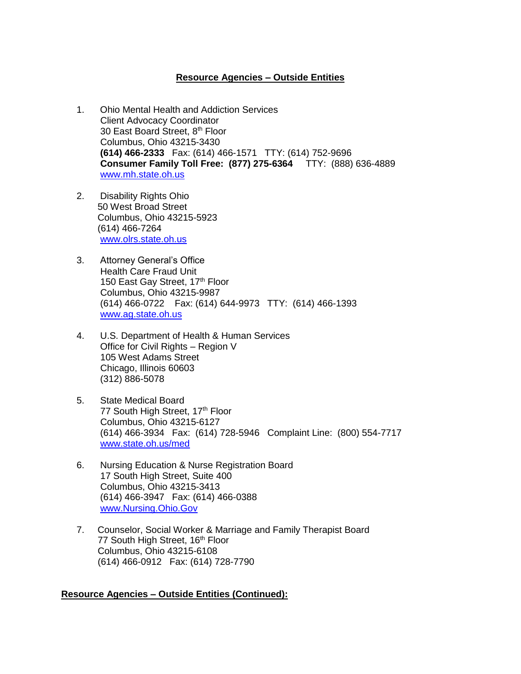## **Resource Agencies – Outside Entities**

- 1. Ohio Mental Health and Addiction Services Client Advocacy Coordinator 30 East Board Street, 8th Floor Columbus, Ohio 43215-3430  **(614) 466-2333** Fax: (614) 466-1571 TTY: (614) 752-9696  **Consumer Family Toll Free: (877) 275-6364** TTY: (888) 636-4889 [www.mh.state.oh.us](http://www.mh.state.oh.us/)
- 2. Disability Rights Ohio 50 West Broad Street Columbus, Ohio 43215-5923 (614) 466-7264 [www.olrs.state.oh.us](http://www.olrs.state.oh.us/)
- 3. Attorney General's Office Health Care Fraud Unit 150 East Gay Street, 17<sup>th</sup> Floor Columbus, Ohio 43215-9987 (614) 466-0722 Fax: (614) 644-9973 TTY: (614) 466-1393 [www.ag.state.oh.us](http://www.ag.state.oh.us/)
- 4. U.S. Department of Health & Human Services Office for Civil Rights – Region V 105 West Adams Street Chicago, Illinois 60603 (312) 886-5078
- 5. State Medical Board 77 South High Street, 17th Floor Columbus, Ohio 43215-6127 (614) 466-3934 Fax: (614) 728-5946 Complaint Line: (800) 554-7717 [www.state.oh.us/med](http://www.state.oh.us/med)
- 6. Nursing Education & Nurse Registration Board 17 South High Street, Suite 400 Columbus, Ohio 43215-3413 (614) 466-3947 Fax: (614) 466-0388 [www.Nursing.Ohio.Gov](http://www.nursing.ohio.gov/)
- 7. Counselor, Social Worker & Marriage and Family Therapist Board 77 South High Street, 16<sup>th</sup> Floor Columbus, Ohio 43215-6108 (614) 466-0912 Fax: (614) 728-7790

## **Resource Agencies – Outside Entities (Continued):**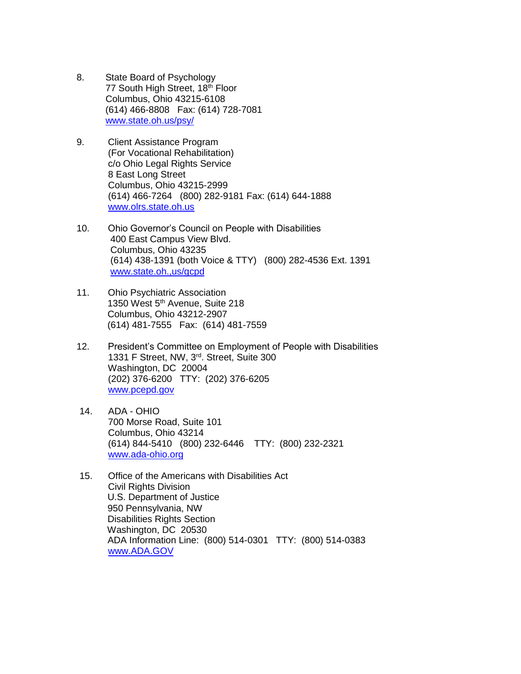- 8. State Board of Psychology 77 South High Street, 18<sup>th</sup> Floor Columbus, Ohio 43215-6108 (614) 466-8808 Fax: (614) 728-7081 [www.state.oh.us/psy/](http://www.state.oh.us/psy/)
- 9. Client Assistance Program (For Vocational Rehabilitation) c/o Ohio Legal Rights Service 8 East Long Street Columbus, Ohio 43215-2999 (614) 466-7264 (800) 282-9181 Fax: (614) 644-1888 [www.olrs.state.oh.us](http://www.olrs.state.oh.us/)
- 10. Ohio Governor's Council on People with Disabilities 400 East Campus View Blvd. Columbus, Ohio 43235 (614) 438-1391 (both Voice & TTY) (800) 282-4536 Ext. 1391 [www.state.oh.,us/gcpd](http://www.state.oh.,us/gcpd)
- 11. Ohio Psychiatric Association 1350 West 5<sup>th</sup> Avenue, Suite 218 Columbus, Ohio 43212-2907 (614) 481-7555 Fax: (614) 481-7559
- 12. President's Committee on Employment of People with Disabilities 1331 F Street, NW, 3rd. Street, Suite 300 Washington, DC 20004 (202) 376-6200 TTY: (202) 376-6205 [www.pcepd.gov](http://www.pcepd.gov/)
- 14. ADA OHIO 700 Morse Road, Suite 101 Columbus, Ohio 43214 (614) 844-5410 (800) 232-6446 TTY: (800) 232-2321 [www.ada-ohio.org](http://www.ada-ohio.org/)
- 15. Office of the Americans with Disabilities Act Civil Rights Division U.S. Department of Justice 950 Pennsylvania, NW Disabilities Rights Section Washington, DC 20530 ADA Information Line: (800) 514-0301 TTY: (800) 514-0383 [www.ADA.GOV](http://www.ada.gov/)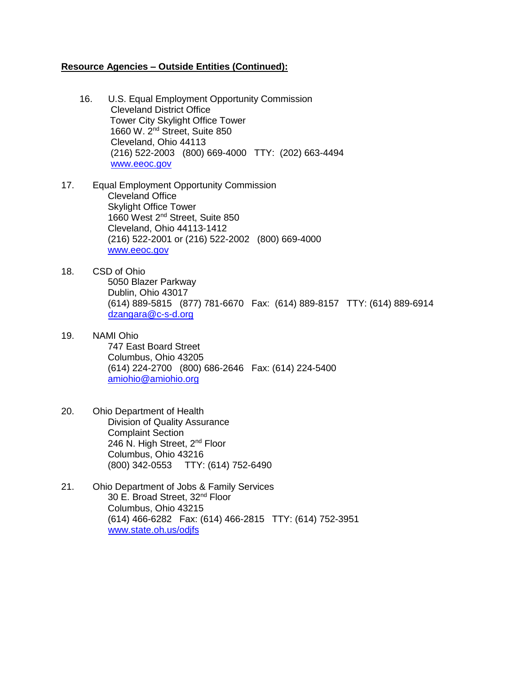## **Resource Agencies – Outside Entities (Continued):**

- 16. U.S. Equal Employment Opportunity Commission Cleveland District Office Tower City Skylight Office Tower 1660 W. 2nd Street, Suite 850 Cleveland, Ohio 44113 (216) 522-2003 (800) 669-4000 TTY: (202) 663-4494 [www.eeoc.gov](http://www.eeoc.gov/)
- 17. Equal Employment Opportunity Commission Cleveland Office Skylight Office Tower 1660 West 2nd Street, Suite 850 Cleveland, Ohio 44113-1412 (216) 522-2001 or (216) 522-2002 (800) 669-4000 [www.eeoc.gov](http://www.eeoc.gov/)
- 18. CSD of Ohio 5050 Blazer Parkway Dublin, Ohio 43017 (614) 889-5815 (877) 781-6670 Fax: (614) 889-8157 TTY: (614) 889-6914 [dzangara@c-s-d.org](mailto:dzangara@c-s-d.org)
- 19. NAMI Ohio 747 East Board Street Columbus, Ohio 43205 (614) 224-2700 (800) 686-2646 Fax: (614) 224-5400 [amiohio@amiohio.org](mailto:amiohio@amiohio.org)
- 20. Ohio Department of Health Division of Quality Assurance Complaint Section 246 N. High Street, 2<sup>nd</sup> Floor Columbus, Ohio 43216 (800) 342-0553 TTY: (614) 752-6490
- 21. Ohio Department of Jobs & Family Services 30 E. Broad Street, 32nd Floor Columbus, Ohio 43215 (614) 466-6282 Fax: (614) 466-2815 TTY: (614) 752-3951 [www.state.oh.us/odjfs](http://www.state.oh.us/odjfs)